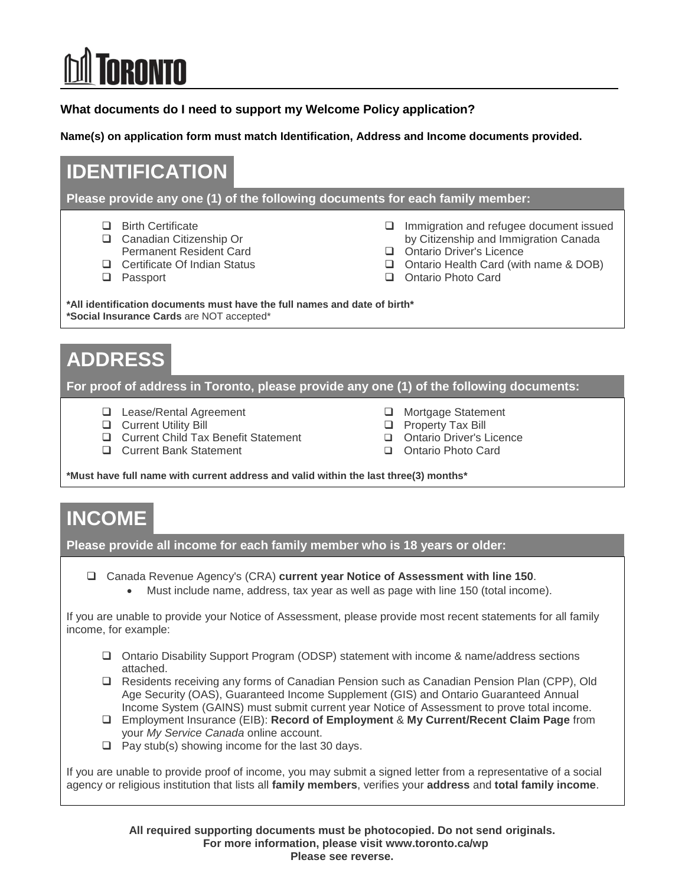# **RONTO**

**What documents do I need to support my Welcome Policy application?** 

**Name(s) on application form must match Identification, Address and Income documents provided.** 

# **IDENTIFICATION**

**Please provide any one (1) of the following documents for each family member:**

- **Birth Certificate**
- □ Canadian Citizenship Or Permanent Resident Card
- □ Certificate Of Indian Status
- □ Passport
- □ Immigration and refugee document issued by Citizenship and Immigration Canada
- Ontario Driver's Licence
- □ Ontario Health Card (with name & DOB)
- Ontario Photo Card

**\*All identification documents must have the full names and date of birth\* \*Social Insurance Cards** are NOT accepted\*

# **ADDRESS**

**For proof of address in Toronto, please provide any one (1) of the following documents:** 

□ Lease/Rental Agreement

**Q** Current Bank Statement

- **Q** Current Utility Bill □ Current Child Tax Benefit Statement
- □ Mortgage Statement
- **Q** Property Tax Bill
- Ontario Driver's Licence
- Ontario Photo Card

**\*Must have full name with current address and valid within the last three(3) months\***

### **INCOME**

**Please provide all income for each family member who is 18 years or older:**

Canada Revenue Agency's (CRA) **current year Notice of Assessment with line 150**.

Must include name, address, tax year as well as page with line 150 (total income).

If you are unable to provide your Notice of Assessment, please provide most recent statements for all family income, for example:

- Ontario Disability Support Program (ODSP) statement with income & name/address sections attached.
- Residents receiving any forms of Canadian Pension such as Canadian Pension Plan (CPP), Old Age Security (OAS), Guaranteed Income Supplement (GIS) and Ontario Guaranteed Annual Income System (GAINS) must submit current year Notice of Assessment to prove total income.
- Employment Insurance (EIB): **Record of Employment** & **My Current/Recent Claim Page** from your *My Service Canada* online account.
- $\Box$  Pay stub(s) showing income for the last 30 days.

If you are unable to provide proof of income, you may submit a signed letter from a representative of a social agency or religious institution that lists all **family members**, verifies your **address** and **total family income**.